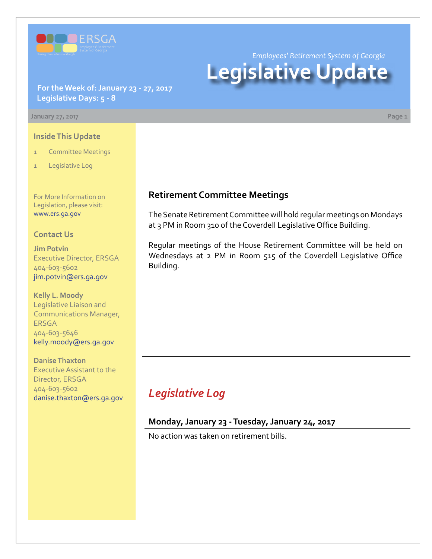

*Employees' Retirement System of Georgia*

# **Legislative Update**

**For the Week of: January 23 - 27, 2017 Legislative Days: 5 - 8**

**January 27, 2017 Page 1**

#### **Inside This Update**

- 1 Committee Meetings
- 1 Legislative Log

For More Information on Legislation, please visit: [www.ers.ga.gov](http://www.ers.ga.gov/default.aspx)

#### **Contact Us**

**Jim Potvin** Executive Director, ERSGA 404-603-5602 jim.potvin@ers.ga.gov

**Kelly L. Moody** Legislative Liaison and Communications Manager, ERSGA 404-603-5646 kelly.moody@ers.ga.gov

**Danise Thaxton** Executive Assistant to the Director, ERSGA 404-603-5602 danise.thaxton@ers.ga.gov

### **Retirement Committee Meetings**

The Senate Retirement Committee will hold regular meetings on Mondays at 3 PM in Room 310 of the Coverdell Legislative Office Building.

Regular meetings of the House Retirement Committee will be held on Wednesdays at 2 PM in Room 515 of the Coverdell Legislative Office Building.

# *Legislative Log*

### **Monday, January 23 - Tuesday, January 24, 2017**

No action was taken on retirement bills.